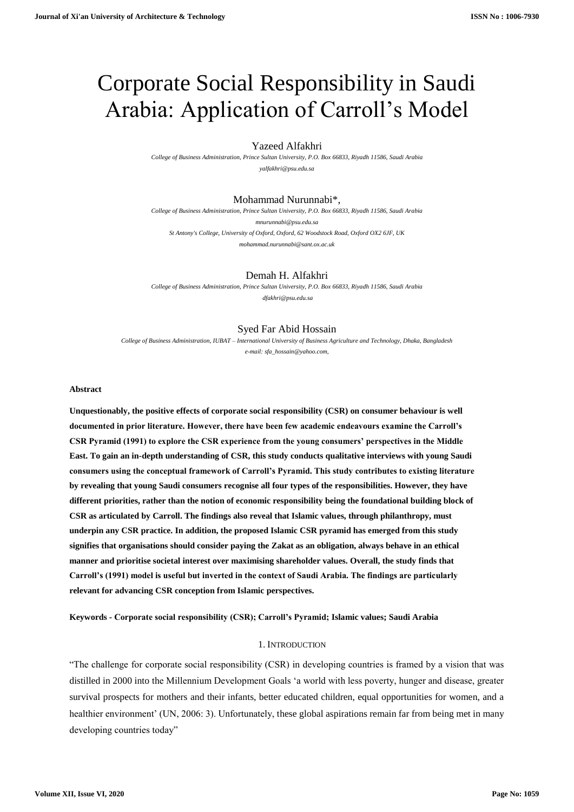# Corporate Social Responsibility in Saudi Arabia: Application of Carroll's Model

# Yazeed Alfakhri

*College of Business Administration, Prince Sultan University, P.O. Box 66833, Riyadh 11586, Saudi Arabia [yalfakhri@psu.edu.sa](about:blank)*

# Mohammad Nurunnabi\*,

*College of Business Administration, Prince Sultan University, P.O. Box 66833, Riyadh 11586, Saudi Arabia [mnurunnabi@psu.edu.sa](about:blank) St Antony's College, University of Oxford, Oxford, 62 Woodstock Road, Oxford OX2 6JF, UK [mohammad.nurunnabi@sant.ox.ac.uk](about:blank)*

### Demah H. Alfakhri

*College of Business Administration, Prince Sultan University, P.O. Box 66833, Riyadh 11586, Saudi Arabia dfakhri@psu.edu.sa*

### Syed Far Abid Hossain

*College of Business Administration, IUBAT – International University of Business Agriculture and Technology, Dhaka, Bangladesh e-mail[: sfa\\_hossain@yahoo.com,](about:blank)* 

### **Abstract**

**Unquestionably, the positive effects of corporate social responsibility (CSR) on consumer behaviour is well documented in prior literature. However, there have been few academic endeavours examine the Carroll's CSR Pyramid (1991) to explore the CSR experience from the young consumers' perspectives in the Middle East. To gain an in-depth understanding of CSR, this study conducts qualitative interviews with young Saudi consumers using the conceptual framework of Carroll's Pyramid. This study contributes to existing literature by revealing that young Saudi consumers recognise all four types of the responsibilities. However, they have different priorities, rather than the notion of economic responsibility being the foundational building block of CSR as articulated by Carroll. The findings also reveal that Islamic values, through philanthropy, must underpin any CSR practice. In addition, the proposed Islamic CSR pyramid has emerged from this study signifies that organisations should consider paying the Zakat as an obligation, always behave in an ethical manner and prioritise societal interest over maximising shareholder values. Overall, the study finds that Carroll's (1991) model is useful but inverted in the context of Saudi Arabia. The findings are particularly relevant for advancing CSR conception from Islamic perspectives.**

**Keywords - Corporate social responsibility (CSR); Carroll's Pyramid; Islamic values; Saudi Arabia**

# 1. INTRODUCTION

"The challenge for corporate social responsibility (CSR) in developing countries is framed by a vision that was distilled in 2000 into the Millennium Development Goals 'a world with less poverty, hunger and disease, greater survival prospects for mothers and their infants, better educated children, equal opportunities for women, and a healthier environment' (UN, 2006: 3). Unfortunately, these global aspirations remain far from being met in many developing countries today"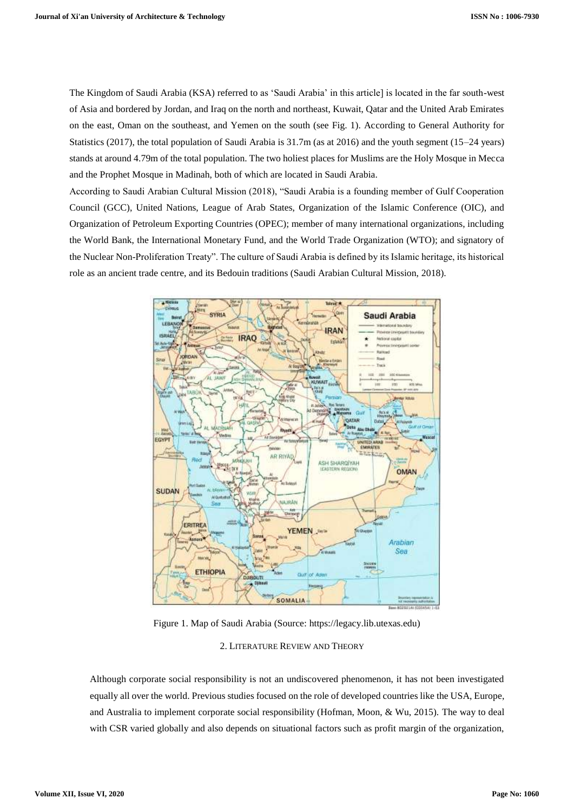The Kingdom of Saudi Arabia (KSA) referred to as 'Saudi Arabia' in this article] is located in the far south-west of Asia and bordered by Jordan, and Iraq on the north and northeast, Kuwait, Qatar and the United Arab Emirates on the east, Oman on the southeast, and Yemen on the south (see Fig. 1). According to General Authority for Statistics (2017), the total population of Saudi Arabia is 31.7m (as at 2016) and the youth segment (15–24 years) stands at around 4.79m of the total population. The two holiest places for Muslims are the Holy Mosque in Mecca and the Prophet Mosque in Madinah, both of which are located in Saudi Arabia.

According to Saudi Arabian Cultural Mission (2018), "Saudi Arabia is a founding member of Gulf Cooperation Council (GCC), United Nations, League of Arab States, Organization of the Islamic Conference (OIC), and Organization of Petroleum Exporting Countries (OPEC); member of many international organizations, including the World Bank, the International Monetary Fund, and the World Trade Organization (WTO); and signatory of the Nuclear Non-Proliferation Treaty". The culture of Saudi Arabia is defined by its Islamic heritage, its historical role as an ancient trade centre, and its Bedouin traditions (Saudi Arabian Cultural Mission, 2018).



Figure 1. Map of Saudi Arabia (Source: [https://legacy.lib.utexas.edu\)](about:blank)

# 2. LITERATURE REVIEW AND THEORY

Although corporate social responsibility is not an undiscovered phenomenon, it has not been investigated equally all over the world. Previous studies focused on the role of developed countries like the USA, Europe, and Australia to implement corporate social responsibility (Hofman, Moon, & Wu, 2015). The way to deal with CSR varied globally and also depends on situational factors such as profit margin of the organization,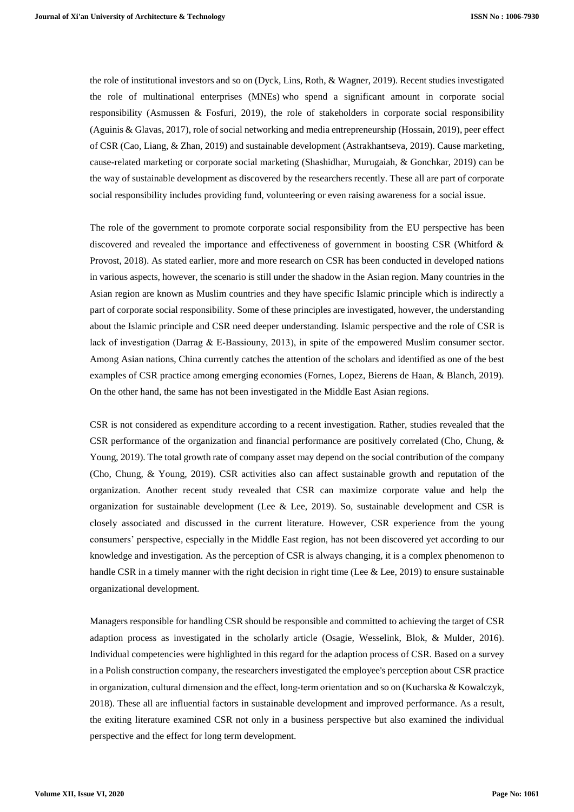the role of institutional investors and so on (Dyck, Lins, Roth, & Wagner, 2019). Recent studies investigated the role of multinational enterprises (MNEs) who spend a significant amount in corporate social responsibility (Asmussen & Fosfuri, 2019), the role of stakeholders in corporate social responsibility (Aguinis & Glavas, 2017), role of social networking and media entrepreneurship (Hossain, 2019), peer effect of CSR (Cao, Liang, & Zhan, 2019) and sustainable development (Astrakhantseva, 2019). Cause marketing, cause-related marketing or corporate social marketing (Shashidhar, Murugaiah, & Gonchkar, 2019) can be the way of sustainable development as discovered by the researchers recently. These all are part of corporate social responsibility includes providing fund, volunteering or even raising awareness for a social issue.

The role of the government to promote corporate social responsibility from the EU perspective has been discovered and revealed the importance and effectiveness of government in boosting CSR (Whitford & Provost, 2018). As stated earlier, more and more research on CSR has been conducted in developed nations in various aspects, however, the scenario is still under the shadow in the Asian region. Many countries in the Asian region are known as Muslim countries and they have specific Islamic principle which is indirectly a part of corporate social responsibility. Some of these principles are investigated, however, the understanding about the Islamic principle and CSR need deeper understanding. Islamic perspective and the role of CSR is lack of investigation (Darrag & E‐Bassiouny, 2013), in spite of the empowered Muslim consumer sector. Among Asian nations, China currently catches the attention of the scholars and identified as one of the best examples of CSR practice among emerging economies (Fornes, Lopez, Bierens de Haan, & Blanch, 2019). On the other hand, the same has not been investigated in the Middle East Asian regions.

CSR is not considered as expenditure according to a recent investigation. Rather, studies revealed that the CSR performance of the organization and financial performance are positively correlated (Cho, Chung, & Young, 2019). The total growth rate of company asset may depend on the social contribution of the company (Cho, Chung, & Young, 2019). CSR activities also can affect sustainable growth and reputation of the organization. Another recent study revealed that CSR can maximize corporate value and help the organization for sustainable development (Lee & Lee, 2019). So, sustainable development and CSR is closely associated and discussed in the current literature. However, CSR experience from the young consumers' perspective, especially in the Middle East region, has not been discovered yet according to our knowledge and investigation. As the perception of CSR is always changing, it is a complex phenomenon to handle CSR in a timely manner with the right decision in right time (Lee & Lee, 2019) to ensure sustainable organizational development.

Managers responsible for handling CSR should be responsible and committed to achieving the target of CSR adaption process as investigated in the scholarly article (Osagie, Wesselink, Blok, & Mulder, 2016). Individual competencies were highlighted in this regard for the adaption process of CSR. Based on a survey in a Polish construction company, the researchers investigated the employee's perception about CSR practice in organization, cultural dimension and the effect, long-term orientation and so on (Kucharska & Kowalczyk, 2018). These all are influential factors in sustainable development and improved performance. As a result, the exiting literature examined CSR not only in a business perspective but also examined the individual perspective and the effect for long term development.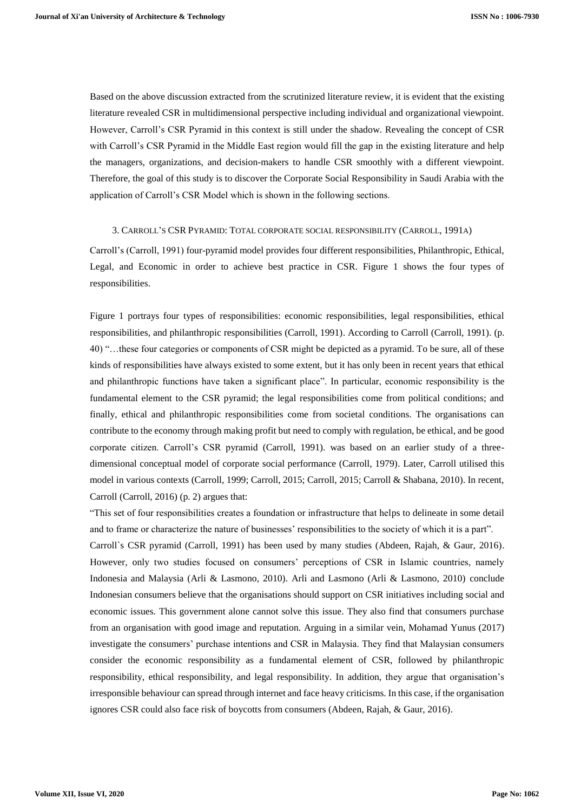Based on the above discussion extracted from the scrutinized literature review, it is evident that the existing literature revealed CSR in multidimensional perspective including individual and organizational viewpoint. However, Carroll's CSR Pyramid in this context is still under the shadow. Revealing the concept of CSR with Carroll's CSR Pyramid in the Middle East region would fill the gap in the existing literature and help the managers, organizations, and decision-makers to handle CSR smoothly with a different viewpoint. Therefore, the goal of this study is to discover the Corporate Social Responsibility in Saudi Arabia with the application of Carroll's CSR Model which is shown in the following sections.

#### 3. CARROLL'S CSR PYRAMID: TOTAL CORPORATE SOCIAL RESPONSIBILITY (CARROLL, 1991A)

Carroll's (Carroll, 1991) four-pyramid model provides four different responsibilities, Philanthropic, Ethical, Legal, and Economic in order to achieve best practice in CSR. Figure 1 shows the four types of responsibilities.

Figure 1 portrays four types of responsibilities: economic responsibilities, legal responsibilities, ethical responsibilities, and philanthropic responsibilities (Carroll, 1991). According to Carroll (Carroll, 1991). (p. 40) "…these four categories or components of CSR might be depicted as a pyramid. To be sure, all of these kinds of responsibilities have always existed to some extent, but it has only been in recent years that ethical and philanthropic functions have taken a significant place". In particular, economic responsibility is the fundamental element to the CSR pyramid; the legal responsibilities come from political conditions; and finally, ethical and philanthropic responsibilities come from societal conditions. The organisations can contribute to the economy through making profit but need to comply with regulation, be ethical, and be good corporate citizen. Carroll's CSR pyramid (Carroll, 1991). was based on an earlier study of a threedimensional conceptual model of corporate social performance (Carroll, 1979). Later, Carroll utilised this model in various contexts (Carroll, 1999; Carroll, 2015; Carroll, 2015; Carroll & Shabana, 2010). In recent, Carroll (Carroll, 2016) (p. 2) argues that:

"This set of four responsibilities creates a foundation or infrastructure that helps to delineate in some detail and to frame or characterize the nature of businesses' responsibilities to the society of which it is a part".

Carroll`s CSR pyramid (Carroll, 1991) has been used by many studies (Abdeen, Rajah, & Gaur, 2016). However, only two studies focused on consumers' perceptions of CSR in Islamic countries, namely Indonesia and Malaysia (Arli & Lasmono, 2010). Arli and Lasmono (Arli & Lasmono, 2010) conclude Indonesian consumers believe that the organisations should support on CSR initiatives including social and economic issues. This government alone cannot solve this issue. They also find that consumers purchase from an organisation with good image and reputation. Arguing in a similar vein, Mohamad Yunus (2017) investigate the consumers' purchase intentions and CSR in Malaysia. They find that Malaysian consumers consider the economic responsibility as a fundamental element of CSR, followed by philanthropic responsibility, ethical responsibility, and legal responsibility. In addition, they argue that organisation's irresponsible behaviour can spread through internet and face heavy criticisms. In this case, if the organisation ignores CSR could also face risk of boycotts from consumers (Abdeen, Rajah, & Gaur, 2016).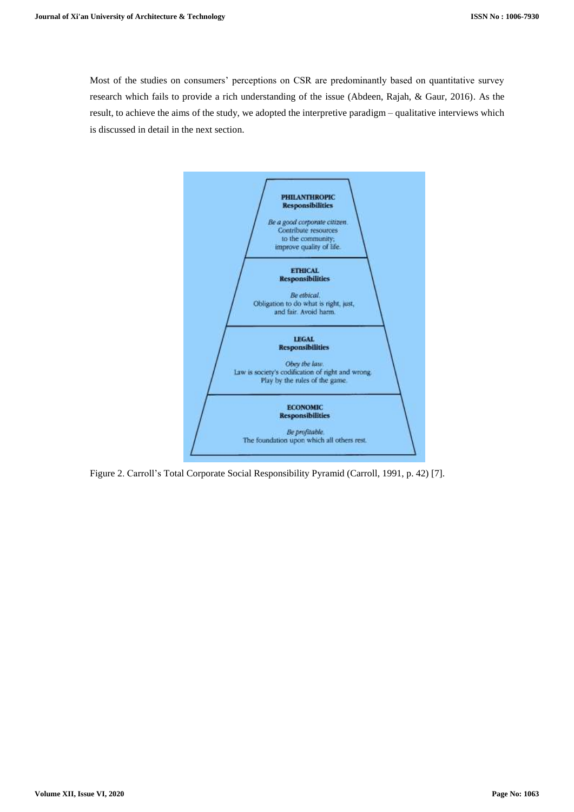Most of the studies on consumers' perceptions on CSR are predominantly based on quantitative survey research which fails to provide a rich understanding of the issue (Abdeen, Rajah, & Gaur, 2016). As the result, to achieve the aims of the study, we adopted the interpretive paradigm – qualitative interviews which is discussed in detail in the next section.



Figure 2. Carroll's Total Corporate Social Responsibility Pyramid (Carroll, 1991, p. 42) [7].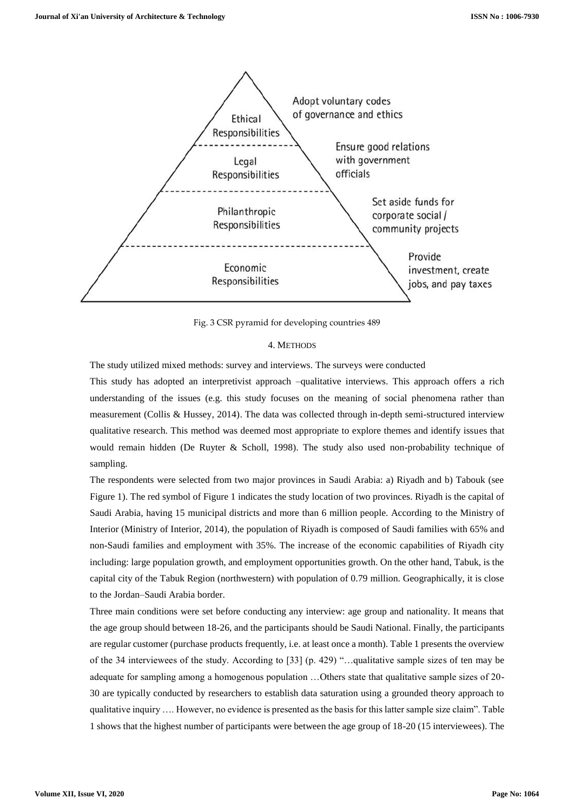

Fig. 3 CSR pyramid for developing countries 489

# 4. METHODS

The study utilized mixed methods: survey and interviews. The surveys were conducted

This study has adopted an interpretivist approach –qualitative interviews. This approach offers a rich understanding of the issues (e.g. this study focuses on the meaning of social phenomena rather than measurement (Collis & Hussey, 2014). The data was collected through in-depth semi-structured interview qualitative research. This method was deemed most appropriate to explore themes and identify issues that would remain hidden (De Ruyter & Scholl, 1998). The study also used non-probability technique of sampling.

The respondents were selected from two major provinces in Saudi Arabia: a) Riyadh and b) Tabouk (see Figure 1). The red symbol of Figure 1 indicates the study location of two provinces. Riyadh is the capital of Saudi Arabia, having 15 municipal districts and more than 6 million people. According to the Ministry of Interior (Ministry of Interior, 2014), the population of Riyadh is composed of Saudi families with 65% and non-Saudi families and employment with 35%. The increase of the economic capabilities of Riyadh city including: large population growth, and employment opportunities growth. On the other hand, Tabuk, is the capital city of the Tabuk Region (northwestern) with population of 0.79 million. Geographically, it is close to the Jordan–Saudi Arabia border.

Three main conditions were set before conducting any interview: age group and nationality. It means that the age group should between 18-26, and the participants should be Saudi National. Finally, the participants are regular customer (purchase products frequently, i.e. at least once a month). Table 1 presents the overview of the 34 interviewees of the study. According to [33] (p. 429) "…qualitative sample sizes of ten may be adequate for sampling among a homogenous population …Others state that qualitative sample sizes of 20- 30 are typically conducted by researchers to establish data saturation using a grounded theory approach to qualitative inquiry …. However, no evidence is presented as the basis for this latter sample size claim". Table 1 shows that the highest number of participants were between the age group of 18-20 (15 interviewees). The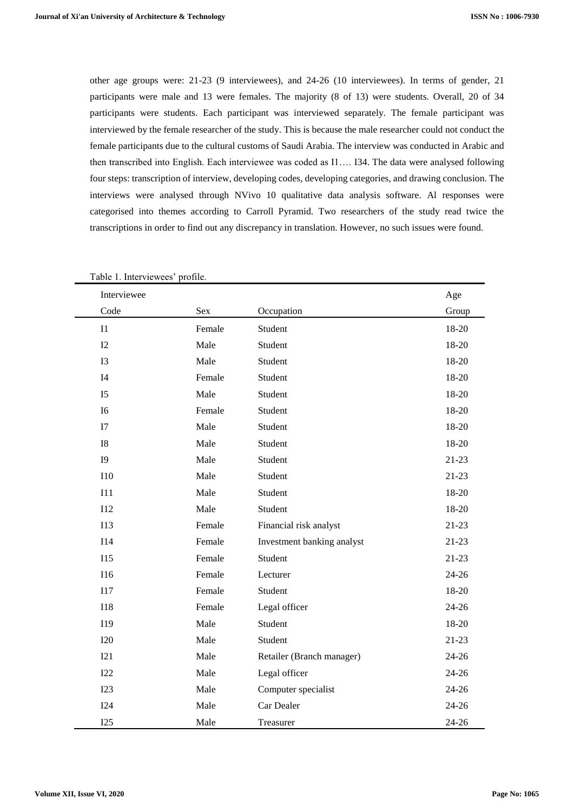other age groups were: 21-23 (9 interviewees), and 24-26 (10 interviewees). In terms of gender, 21 participants were male and 13 were females. The majority (8 of 13) were students. Overall, 20 of 34 participants were students. Each participant was interviewed separately. The female participant was interviewed by the female researcher of the study. This is because the male researcher could not conduct the female participants due to the cultural customs of Saudi Arabia. The interview was conducted in Arabic and then transcribed into English. Each interviewee was coded as I1…. I34. The data were analysed following four steps: transcription of interview, developing codes, developing categories, and drawing conclusion. The interviews were analysed through NVivo 10 qualitative data analysis software. Al responses were categorised into themes according to Carroll Pyramid. Two researchers of the study read twice the transcriptions in order to find out any discrepancy in translation. However, no such issues were found.

| Table 1. Interviewees' profile. |        |                            |           |
|---------------------------------|--------|----------------------------|-----------|
| Interviewee                     |        |                            | Age       |
| Code                            | Sex    | Occupation                 | Group     |
| I1                              | Female | Student                    | 18-20     |
| I2                              | Male   | Student                    | 18-20     |
| I3                              | Male   | Student                    | 18-20     |
| I4                              | Female | Student                    | 18-20     |
| I <sub>5</sub>                  | Male   | Student                    | 18-20     |
| I6                              | Female | Student                    | 18-20     |
| I7                              | Male   | Student                    | 18-20     |
| ${\rm I}8$                      | Male   | Student                    | 18-20     |
| <b>I9</b>                       | Male   | Student                    | $21-23$   |
| <b>I10</b>                      | Male   | Student                    | $21 - 23$ |
| I11                             | Male   | Student                    | 18-20     |
| <b>I12</b>                      | Male   | Student                    | 18-20     |
| <b>I13</b>                      | Female | Financial risk analyst     | $21-23$   |
| <b>I14</b>                      | Female | Investment banking analyst | $21 - 23$ |
| <b>I15</b>                      | Female | Student                    | $21-23$   |
| <b>I16</b>                      | Female | Lecturer                   | $24 - 26$ |
| <b>I17</b>                      | Female | Student                    | $18 - 20$ |
| <b>I18</b>                      | Female | Legal officer              | $24 - 26$ |
| I19                             | Male   | Student                    | 18-20     |
| <b>I20</b>                      | Male   | Student                    | $21 - 23$ |
| I21                             | Male   | Retailer (Branch manager)  | $24 - 26$ |
| I22                             | Male   | Legal officer              | $24 - 26$ |
| I23                             | Male   | Computer specialist        | $24 - 26$ |
| I24                             | Male   | Car Dealer                 | 24-26     |
| I25                             | Male   | Treasurer                  | 24-26     |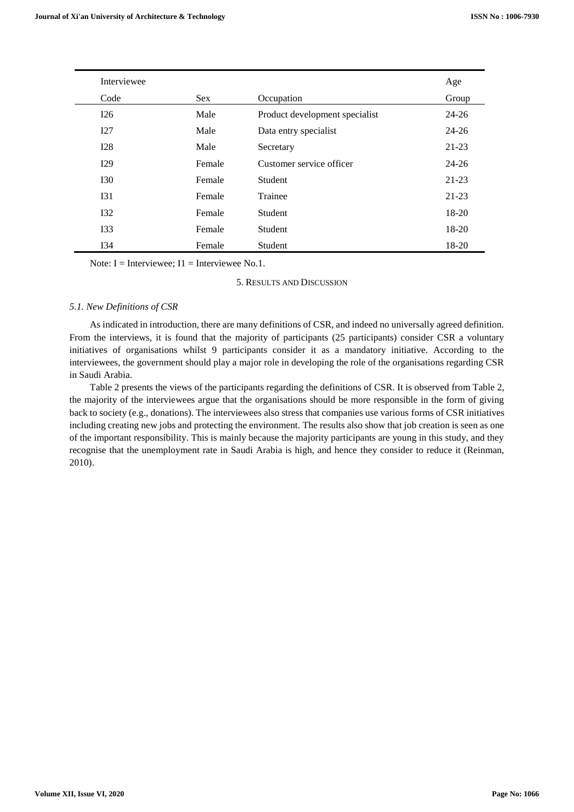| Interviewee     |            |                                | Age       |
|-----------------|------------|--------------------------------|-----------|
| Code            | <b>Sex</b> | Occupation                     | Group     |
| I26             | Male       | Product development specialist | 24-26     |
| I27             | Male       | Data entry specialist          | $24 - 26$ |
| I28             | Male       | Secretary                      | $21-23$   |
| I29             | Female     | Customer service officer       | $24 - 26$ |
| <b>I30</b>      | Female     | Student                        | 21-23     |
| I31             | Female     | Trainee                        | 21-23     |
| I <sub>32</sub> | Female     | <b>Student</b>                 | $18-20$   |
| I33             | Female     | Student                        | $18-20$   |
| I34             | Female     | Student                        | 18-20     |

Note:  $I = Interviewee$ ;  $I1 = Interviewee$  No.1.

## 5. RESULTS AND DISCUSSION

# *5.1. New Definitions of CSR*

As indicated in introduction, there are many definitions of CSR, and indeed no universally agreed definition. From the interviews, it is found that the majority of participants (25 participants) consider CSR a voluntary initiatives of organisations whilst 9 participants consider it as a mandatory initiative. According to the interviewees, the government should play a major role in developing the role of the organisations regarding CSR in Saudi Arabia.

Table 2 presents the views of the participants regarding the definitions of CSR. It is observed from Table 2, the majority of the interviewees argue that the organisations should be more responsible in the form of giving back to society (e.g., donations). The interviewees also stress that companies use various forms of CSR initiatives including creating new jobs and protecting the environment. The results also show that job creation is seen as one of the important responsibility. This is mainly because the majority participants are young in this study, and they recognise that the unemployment rate in Saudi Arabia is high, and hence they consider to reduce it (Reinman, 2010).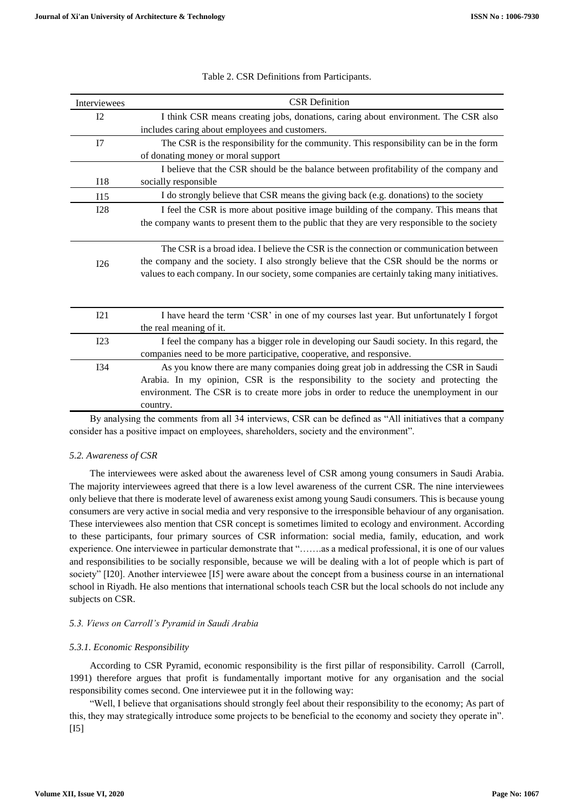| Interviewees   | <b>CSR</b> Definition                                                                         |
|----------------|-----------------------------------------------------------------------------------------------|
| I <sub>2</sub> | I think CSR means creating jobs, donations, caring about environment. The CSR also            |
|                | includes caring about employees and customers.                                                |
| I7             | The CSR is the responsibility for the community. This responsibility can be in the form       |
|                | of donating money or moral support                                                            |
|                | I believe that the CSR should be the balance between profitability of the company and         |
| I18            | socially responsible                                                                          |
| I15            | I do strongly believe that CSR means the giving back (e.g. donations) to the society          |
| <b>I28</b>     | I feel the CSR is more about positive image building of the company. This means that          |
|                | the company wants to present them to the public that they are very responsible to the society |
|                |                                                                                               |
|                | The CSR is a broad idea. I believe the CSR is the connection or communication between         |
| I26            | the company and the society. I also strongly believe that the CSR should be the norms or      |
|                | values to each company. In our society, some companies are certainly taking many initiatives. |
|                |                                                                                               |
|                |                                                                                               |
| I21            | I have heard the term 'CSR' in one of my courses last year. But unfortunately I forgot        |
|                | the real meaning of it.                                                                       |
| I23            | I feel the company has a bigger role in developing our Saudi society. In this regard, the     |
|                | companies need to be more participative, cooperative, and responsive.                         |
| <b>I34</b>     | As you know there are many companies doing great job in addressing the CSR in Saudi           |
|                | Arabia. In my opinion, CSR is the responsibility to the society and protecting the            |
|                | environment. The CSR is to create more jobs in order to reduce the unemployment in our        |
|                | country.                                                                                      |

|  |  | Table 2. CSR Definitions from Participants. |  |
|--|--|---------------------------------------------|--|
|--|--|---------------------------------------------|--|

By analysing the comments from all 34 interviews, CSR can be defined as "All initiatives that a company consider has a positive impact on employees, shareholders, society and the environment".

# *5.2. Awareness of CSR*

The interviewees were asked about the awareness level of CSR among young consumers in Saudi Arabia. The majority interviewees agreed that there is a low level awareness of the current CSR. The nine interviewees only believe that there is moderate level of awareness exist among young Saudi consumers. This is because young consumers are very active in social media and very responsive to the irresponsible behaviour of any organisation. These interviewees also mention that CSR concept is sometimes limited to ecology and environment. According to these participants, four primary sources of CSR information: social media, family, education, and work experience. One interviewee in particular demonstrate that "…….as a medical professional, it is one of our values and responsibilities to be socially responsible, because we will be dealing with a lot of people which is part of society" [I20]. Another interviewee [I5] were aware about the concept from a business course in an international school in Riyadh. He also mentions that international schools teach CSR but the local schools do not include any subjects on CSR.

# *5.3. Views on Carroll's Pyramid in Saudi Arabia*

# *5.3.1. Economic Responsibility*

According to CSR Pyramid, economic responsibility is the first pillar of responsibility. Carroll (Carroll, 1991) therefore argues that profit is fundamentally important motive for any organisation and the social responsibility comes second. One interviewee put it in the following way:

"Well, I believe that organisations should strongly feel about their responsibility to the economy; As part of this, they may strategically introduce some projects to be beneficial to the economy and society they operate in".  $[$ [I5] $]$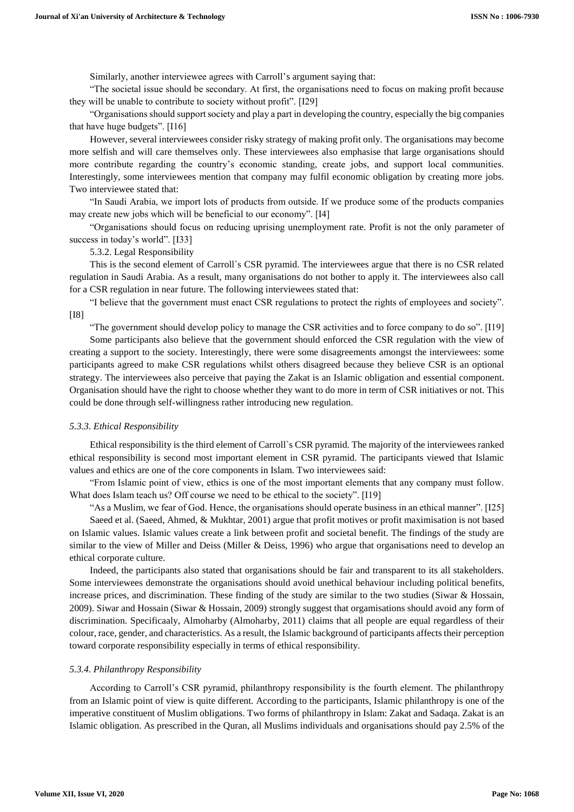Similarly, another interviewee agrees with Carroll's argument saying that:

"The societal issue should be secondary. At first, the organisations need to focus on making profit because they will be unable to contribute to society without profit". [I29]

"Organisations should support society and play a part in developing the country, especially the big companies that have huge budgets". [I16]

However, several interviewees consider risky strategy of making profit only. The organisations may become more selfish and will care themselves only. These interviewees also emphasise that large organisations should more contribute regarding the country's economic standing, create jobs, and support local communities. Interestingly, some interviewees mention that company may fulfil economic obligation by creating more jobs. Two interviewee stated that:

"In Saudi Arabia, we import lots of products from outside. If we produce some of the products companies may create new jobs which will be beneficial to our economy". [I4]

"Organisations should focus on reducing uprising unemployment rate. Profit is not the only parameter of success in today's world". [I33]

5.3.2. Legal Responsibility

This is the second element of Carroll`s CSR pyramid. The interviewees argue that there is no CSR related regulation in Saudi Arabia. As a result, many organisations do not bother to apply it. The interviewees also call for a CSR regulation in near future. The following interviewees stated that:

"I believe that the government must enact CSR regulations to protect the rights of employees and society". [I8]

"The government should develop policy to manage the CSR activities and to force company to do so". [I19]

Some participants also believe that the government should enforced the CSR regulation with the view of creating a support to the society. Interestingly, there were some disagreements amongst the interviewees: some participants agreed to make CSR regulations whilst others disagreed because they believe CSR is an optional strategy. The interviewees also perceive that paying the Zakat is an Islamic obligation and essential component. Organisation should have the right to choose whether they want to do more in term of CSR initiatives or not. This could be done through self-willingness rather introducing new regulation.

#### *5.3.3. Ethical Responsibility*

Ethical responsibility is the third element of Carroll`s CSR pyramid. The majority of the interviewees ranked ethical responsibility is second most important element in CSR pyramid. The participants viewed that Islamic values and ethics are one of the core components in Islam. Two interviewees said:

"From Islamic point of view, ethics is one of the most important elements that any company must follow. What does Islam teach us? Off course we need to be ethical to the society". [I19]

"As a Muslim, we fear of God. Hence, the organisations should operate business in an ethical manner". [I25]

Saeed et al. (Saeed, Ahmed, & Mukhtar, 2001) argue that profit motives or profit maximisation is not based on Islamic values. Islamic values create a link between profit and societal benefit. The findings of the study are similar to the view of Miller and Deiss (Miller & Deiss, 1996) who argue that organisations need to develop an ethical corporate culture.

Indeed, the participants also stated that organisations should be fair and transparent to its all stakeholders. Some interviewees demonstrate the organisations should avoid unethical behaviour including political benefits, increase prices, and discrimination. These finding of the study are similar to the two studies (Siwar & Hossain, 2009). Siwar and Hossain (Siwar & Hossain, 2009) strongly suggest that orgamisations should avoid any form of discrimination. Specificaaly, Almoharby (Almoharby, 2011) claims that all people are equal regardless of their colour, race, gender, and characteristics. As a result, the Islamic background of participants affects their perception toward corporate responsibility especially in terms of ethical responsibility.

# *5.3.4. Philanthropy Responsibility*

According to Carroll's CSR pyramid, philanthropy responsibility is the fourth element. The philanthropy from an Islamic point of view is quite different. According to the participants, Islamic philanthropy is one of the imperative constituent of Muslim obligations. Two forms of philanthropy in Islam: Zakat and Sadaqa. Zakat is an Islamic obligation. As prescribed in the Quran, all Muslims individuals and organisations should pay 2.5% of the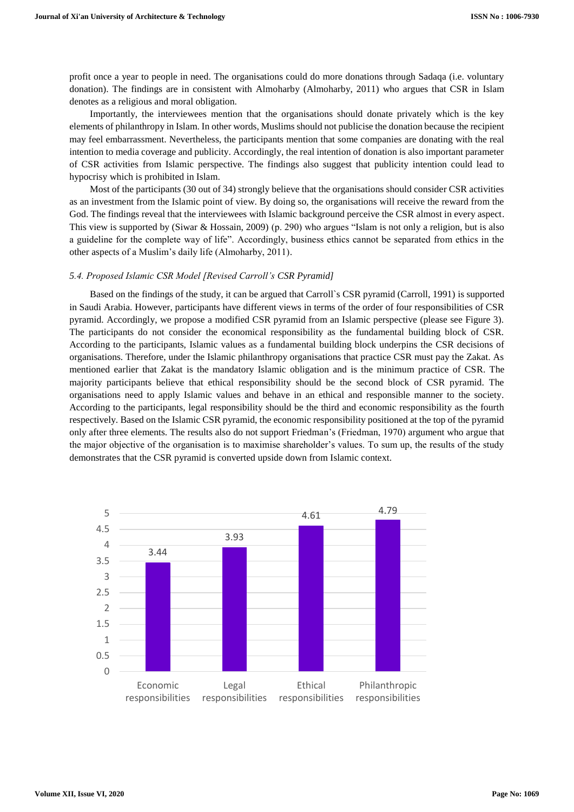profit once a year to people in need. The organisations could do more donations through Sadaqa (i.e. voluntary donation). The findings are in consistent with Almoharby (Almoharby, 2011) who argues that CSR in Islam denotes as a religious and moral obligation.

Importantly, the interviewees mention that the organisations should donate privately which is the key elements of philanthropy in Islam. In other words, Muslims should not publicise the donation because the recipient may feel embarrassment. Nevertheless, the participants mention that some companies are donating with the real intention to media coverage and publicity. Accordingly, the real intention of donation is also important parameter of CSR activities from Islamic perspective. The findings also suggest that publicity intention could lead to hypocrisy which is prohibited in Islam.

Most of the participants (30 out of 34) strongly believe that the organisations should consider CSR activities as an investment from the Islamic point of view. By doing so, the organisations will receive the reward from the God. The findings reveal that the interviewees with Islamic background perceive the CSR almost in every aspect. This view is supported by (Siwar & Hossain, 2009) (p. 290) who argues "Islam is not only a religion, but is also a guideline for the complete way of life". Accordingly, business ethics cannot be separated from ethics in the other aspects of a Muslim's daily life (Almoharby, 2011).

#### *5.4. Proposed Islamic CSR Model [Revised Carroll's CSR Pyramid]*

Based on the findings of the study, it can be argued that Carroll`s CSR pyramid (Carroll, 1991) is supported in Saudi Arabia. However, participants have different views in terms of the order of four responsibilities of CSR pyramid. Accordingly, we propose a modified CSR pyramid from an Islamic perspective (please see Figure 3). The participants do not consider the economical responsibility as the fundamental building block of CSR. According to the participants, Islamic values as a fundamental building block underpins the CSR decisions of organisations. Therefore, under the Islamic philanthropy organisations that practice CSR must pay the Zakat. As mentioned earlier that Zakat is the mandatory Islamic obligation and is the minimum practice of CSR. The majority participants believe that ethical responsibility should be the second block of CSR pyramid. The organisations need to apply Islamic values and behave in an ethical and responsible manner to the society. According to the participants, legal responsibility should be the third and economic responsibility as the fourth respectively. Based on the Islamic CSR pyramid, the economic responsibility positioned at the top of the pyramid only after three elements. The results also do not support Friedman's (Friedman, 1970) argument who argue that the major objective of the organisation is to maximise shareholder's values. To sum up, the results of the study demonstrates that the CSR pyramid is converted upside down from Islamic context.

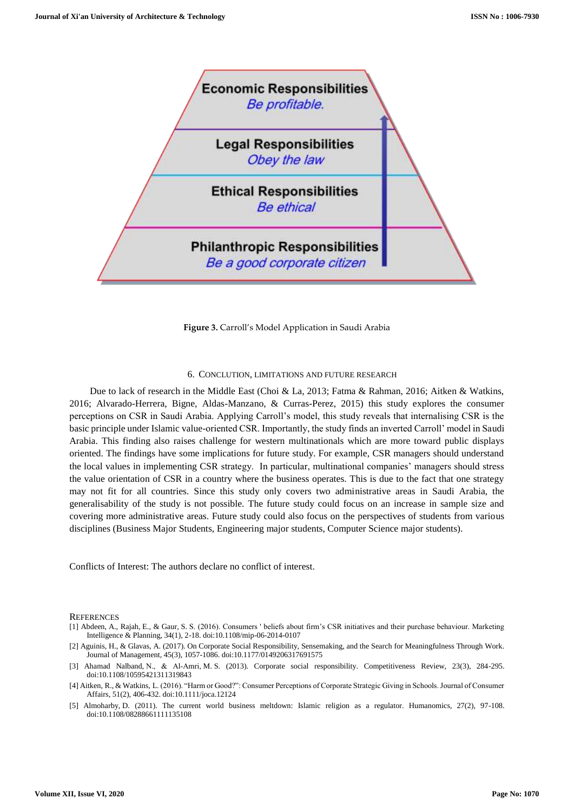

**Figure 3.** Carroll's Model Application in Saudi Arabia

### 6. CONCLUTION, LIMITATIONS AND FUTURE RESEARCH

Due to lack of research in the Middle East (Choi & La, 2013; Fatma & Rahman, 2016; Aitken & Watkins, 2016; Alvarado-Herrera, Bigne, Aldas-Manzano, & Curras-Perez, 2015) this study explores the consumer perceptions on CSR in Saudi Arabia. Applying Carroll's model, this study reveals that internalising CSR is the basic principle under Islamic value-oriented CSR. Importantly, the study finds an inverted Carroll' model in Saudi Arabia. This finding also raises challenge for western multinationals which are more toward public displays oriented. The findings have some implications for future study. For example, CSR managers should understand the local values in implementing CSR strategy. In particular, multinational companies' managers should stress the value orientation of CSR in a country where the business operates. This is due to the fact that one strategy may not fit for all countries. Since this study only covers two administrative areas in Saudi Arabia, the generalisability of the study is not possible. The future study could focus on an increase in sample size and covering more administrative areas. Future study could also focus on the perspectives of students from various disciplines (Business Major Students, Engineering major students, Computer Science major students).

Conflicts of Interest: The authors declare no conflict of interest.

#### **REFERENCES**

[1] Abdeen, A., Rajah, E., & Gaur, S. S. (2016). Consumers ' beliefs about firm's CSR initiatives and their purchase behaviour. Marketing Intelligence & Planning, 34(1), 2-18. doi:10.1108/mip-06-2014-0107

[2] Aguinis, H., & Glavas, A. (2017). On Corporate Social Responsibility, Sensemaking, and the Search for Meaningfulness Through Work. Journal of Management, 45(3), 1057-1086. doi:10.1177/0149206317691575

- [3] Ahamad Nalband, N., & Al‐Amri, M. S. (2013). Corporate social responsibility. Competitiveness Review, 23(3), 284-295. doi:10.1108/10595421311319843
- [4] Aitken, R., & Watkins, L. (2016). "Harm or Good?": Consumer Perceptions of Corporate Strategic Giving in Schools. Journal of Consumer Affairs, 51(2), 406-432. doi:10.1111/joca.12124
- [5] Almoharby, D. (2011). The current world business meltdown: Islamic religion as a regulator. Humanomics, 27(2), 97-108. doi:10.1108/08288661111135108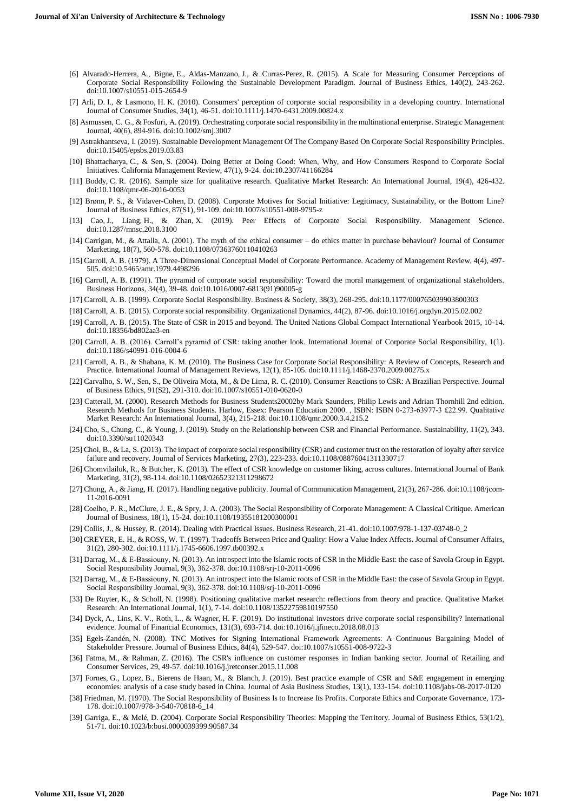- [6] Alvarado-Herrera, A., Bigne, E., Aldas-Manzano, J., & Curras-Perez, R. (2015). A Scale for Measuring Consumer Perceptions of Corporate Social Responsibility Following the Sustainable Development Paradigm. Journal of Business Ethics, 140(2), 243-262. doi:10.1007/s10551-015-2654-9
- [7] Arli, D. I., & Lasmono, H. K. (2010). Consumers' perception of corporate social responsibility in a developing country. International Journal of Consumer Studies, 34(1), 46-51. doi:10.1111/j.1470-6431.2009.00824.x
- [8] Asmussen, C. G., & Fosfuri, A. (2019). Orchestrating corporate social responsibility in the multinational enterprise. Strategic Management Journal, 40(6), 894-916. doi:10.1002/smj.3007
- [9] Astrakhantseva, I. (2019). Sustainable Development Management Of The Company Based On Corporate Social Responsibility Principles. doi:10.15405/epsbs.2019.03.83
- [10] Bhattacharya, C., & Sen, S. (2004). Doing Better at Doing Good: When, Why, and How Consumers Respond to Corporate Social Initiatives. California Management Review, 47(1), 9-24. doi:10.2307/41166284
- [11] Boddy, C. R. (2016). Sample size for qualitative research. Qualitative Market Research: An International Journal, 19(4), 426-432. doi:10.1108/qmr-06-2016-0053
- [12] Brønn, P. S., & Vidaver-Cohen, D. (2008). Corporate Motives for Social Initiative: Legitimacy, Sustainability, or the Bottom Line? Journal of Business Ethics, 87(S1), 91-109. doi:10.1007/s10551-008-9795-z
- [13] Cao, J., Liang, H., & Zhan, X. (2019). Peer Effects of Corporate Social Responsibility. Management Science. doi:10.1287/mnsc.2018.3100
- [14] Carrigan, M., & Attalla, A. (2001). The myth of the ethical consumer do ethics matter in purchase behaviour? Journal of Consumer Marketing, 18(7), 560-578. doi:10.1108/07363760110410263
- [15] Carroll, A. B. (1979). A Three-Dimensional Conceptual Model of Corporate Performance. Academy of Management Review, 4(4), 497- 505. doi:10.5465/amr.1979.4498296
- [16] Carroll, A. B. (1991). The pyramid of corporate social responsibility: Toward the moral management of organizational stakeholders. Business Horizons, 34(4), 39-48. doi:10.1016/0007-6813(91)90005-g
- [17] Carroll, A. B. (1999). Corporate Social Responsibility. Business & Society, 38(3), 268-295. doi:10.1177/000765039903800303
- [18] Carroll, A. B. (2015). Corporate social responsibility. Organizational Dynamics, 44(2), 87-96. doi:10.1016/j.orgdyn.2015.02.002
- [19] Carroll, A. B. (2015). The State of CSR in 2015 and beyond. The United Nations Global Compact International Yearbook 2015, 10-14. doi:10.18356/bd802aa3-en
- [20] Carroll, A. B. (2016). Carroll's pyramid of CSR: taking another look. International Journal of Corporate Social Responsibility, 1(1). doi:10.1186/s40991-016-0004-6
- [21] Carroll, A. B., & Shabana, K. M. (2010). The Business Case for Corporate Social Responsibility: A Review of Concepts, Research and Practice. International Journal of Management Reviews, 12(1), 85-105. doi:10.1111/j.1468-2370.2009.00275.x
- [22] Carvalho, S. W., Sen, S., De Oliveira Mota, M., & De Lima, R. C. (2010). Consumer Reactions to CSR: A Brazilian Perspective. Journal of Business Ethics, 91(S2), 291-310. doi:10.1007/s10551-010-0620-0
- [23] Catterall, M. (2000). Research Methods for Business Students20002by Mark Saunders, Philip Lewis and Adrian Thornhill 2nd edition. Research Methods for Business Students. Harlow, Essex: Pearson Education 2000., ISBN: ISBN 0-273-63977-3 £22.99. Qualitative Market Research: An International Journal, 3(4), 215-218. doi:10.1108/qmr.2000.3.4.215.2
- [24] Cho, S., Chung, C., & Young, J. (2019). Study on the Relationship between CSR and Financial Performance. Sustainability, 11(2), 343. doi:10.3390/su11020343
- [25] Choi, B., & La, S. (2013). The impact of corporate social responsibility (CSR) and customer trust on the restoration of loyalty after service failure and recovery. Journal of Services Marketing, 27(3), 223-233. doi:10.1108/08876041311330717
- [26] Chomvilailuk, R., & Butcher, K. (2013). The effect of CSR knowledge on customer liking, across cultures. International Journal of Bank Marketing, 31(2), 98-114. doi:10.1108/02652321311298672
- [27] Chung, A., & Jiang, H. (2017). Handling negative publicity. Journal of Communication Management, 21(3), 267-286. doi:10.1108/jcom-11-2016-0091
- [28] Coelho, P. R., McClure, J. E., & Spry, J. A. (2003). The Social Responsibility of Corporate Management: A Classical Critique. American Journal of Business, 18(1), 15-24. doi:10.1108/19355181200300001
- [29] Collis, J., & Hussey, R. (2014). Dealing with Practical Issues. Business Research, 21-41. doi:10.1007/978-1-137-03748-0\_2
- [30] CREYER, E. H., & ROSS, W. T. (1997). Tradeoffs Between Price and Quality: How a Value Index Affects. Journal of Consumer Affairs, 31(2), 280-302. doi:10.1111/j.1745-6606.1997.tb00392.x
- [31] Darrag, M., & E-Bassiouny, N. (2013). An introspect into the Islamic roots of CSR in the Middle East: the case of Savola Group in Egypt. Social Responsibility Journal, 9(3), 362-378. doi:10.1108/srj-10-2011-0096
- [32] Darrag, M., & E-Bassiouny, N. (2013). An introspect into the Islamic roots of CSR in the Middle East: the case of Savola Group in Egypt. Social Responsibility Journal, 9(3), 362-378. doi:10.1108/srj-10-2011-0096
- [33] De Ruyter, K., & Scholl, N. (1998). Positioning qualitative market research: reflections from theory and practice. Qualitative Market Research: An International Journal, 1(1), 7-14. doi:10.1108/13522759810197550
- [34] Dyck, A., Lins, K. V., Roth, L., & Wagner, H. F. (2019). Do institutional investors drive corporate social responsibility? International evidence. Journal of Financial Economics, 131(3), 693-714. doi:10.1016/j.jfineco.2018.08.013
- [35] Egels-Zandén, N. (2008). TNC Motives for Signing International Framework Agreements: A Continuous Bargaining Model of Stakeholder Pressure. Journal of Business Ethics, 84(4), 529-547. doi:10.1007/s10551-008-9722-3
- [36] Fatma, M., & Rahman, Z. (2016). The CSR's influence on customer responses in Indian banking sector. Journal of Retailing and Consumer Services, 29, 49-57. doi:10.1016/j.jretconser.2015.11.008
- [37] Fornes, G., Lopez, B., Bierens de Haan, M., & Blanch, J. (2019). Best practice example of CSR and S&E engagement in emerging economies: analysis of a case study based in China. Journal of Asia Business Studies, 13(1), 133-154. doi:10.1108/jabs-08-2017-0120
- [38] Friedman, M. (1970). The Social Responsibility of Business Is to Increase Its Profits. Corporate Ethics and Corporate Governance, 173- 178. doi:10.1007/978-3-540-70818-6\_14
- [39] Garriga, E., & Melé, D. (2004). Corporate Social Responsibility Theories: Mapping the Territory. Journal of Business Ethics, 53(1/2), 51-71. doi:10.1023/b:busi.0000039399.90587.34